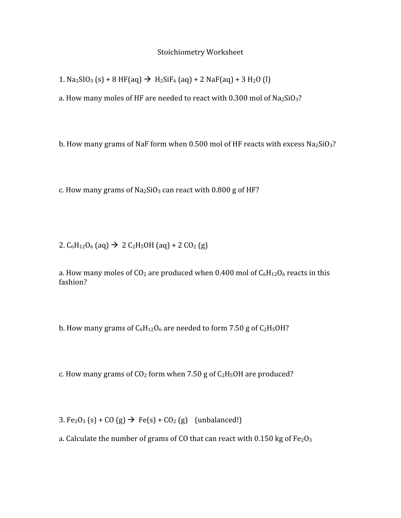## Stoichiometry
Worksheet

1.  $\text{Na}_2\text{SIO}_3$  (s) + 8 HF(aq)  $\rightarrow \text{H}_2\text{SiF}_6$  (aq) + 2 NaF(aq) + 3 H<sub>2</sub>O (l)

a. How many moles of HF are needed to react with  $0.300$  mol of  $Na<sub>2</sub>SiO<sub>3</sub>$ ?

b. How many grams of NaF form when  $0.500$  mol of HF reacts with excess Na2SiO3?

c. How many grams of  $Na<sub>2</sub>SiO<sub>3</sub>$  can react with 0.800 g of HF?

2.  $C_6H_{12}O_6$  (aq)  $\rightarrow$  2  $C_2H_5OH$  (aq) + 2  $CO_2$  (g)

a. How many moles of  $CO<sub>2</sub>$  are produced when 0.400 mol of  $C<sub>6</sub>H<sub>12</sub>O<sub>6</sub>$  reacts in this fashion?

b. How many grams of  $C_6H_{12}O_6$  are needed to form 7.50 g of  $C_2H_5OH$ ?

c. How many grams of  $CO<sub>2</sub>$  form when 7.50 g of  $C<sub>2</sub>H<sub>5</sub>OH$  are produced?

3.  $Fe<sub>2</sub>O<sub>3</sub>$  (s) + CO (g)  $\rightarrow$   $Fe(s) + CO<sub>2</sub>$  (g) (unbalanced!)

a. Calculate the number of grams of CO that can react with 0.150 kg of Fe<sub>2</sub>O<sub>3</sub>